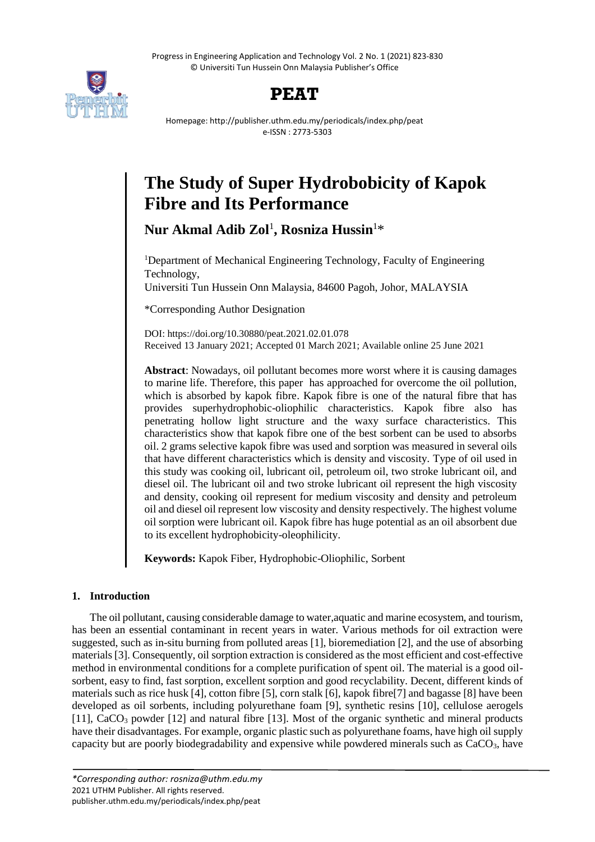Progress in Engineering Application and Technology Vol. 2 No. 1 (2021) 823-830 © Universiti Tun Hussein Onn Malaysia Publisher's Office



## **PEAT**

Homepage: http://publisher.uthm.edu.my/periodicals/index.php/peat e-ISSN : 2773-5303

# **The Study of Super Hydrobobicity of Kapok Fibre and Its Performance**

**Nur Akmal Adib Zol**<sup>1</sup> **, Rosniza Hussin**<sup>1</sup>\*

<sup>1</sup>Department of Mechanical Engineering Technology, Faculty of Engineering Technology,

Universiti Tun Hussein Onn Malaysia, 84600 Pagoh, Johor, MALAYSIA

\*Corresponding Author Designation

DOI: https://doi.org/10.30880/peat.2021.02.01.078 Received 13 January 2021; Accepted 01 March 2021; Available online 25 June 2021

**Abstract**: Nowadays, oil pollutant becomes more worst where it is causing damages to marine life. Therefore, this paper has approached for overcome the oil pollution, which is absorbed by kapok fibre. Kapok fibre is one of the natural fibre that has provides superhydrophobic-oliophilic characteristics. Kapok fibre also has penetrating hollow light structure and the waxy surface characteristics. This characteristics show that kapok fibre one of the best sorbent can be used to absorbs oil. 2 grams selective kapok fibre was used and sorption was measured in several oils that have different characteristics which is density and viscosity. Type of oil used in this study was cooking oil, lubricant oil, petroleum oil, two stroke lubricant oil, and diesel oil. The lubricant oil and two stroke lubricant oil represent the high viscosity and density, cooking oil represent for medium viscosity and density and petroleum oil and diesel oil represent low viscosity and density respectively. The highest volume oil sorption were lubricant oil. Kapok fibre has huge potential as an oil absorbent due to its excellent hydrophobicity-oleophilicity.

**Keywords:** Kapok Fiber, Hydrophobic-Oliophilic, Sorbent

## **1. Introduction**

The oil pollutant, causing considerable damage to water,aquatic and marine ecosystem, and tourism, has been an essential contaminant in recent years in water. Various methods for oil extraction were suggested, such as in-situ burning from polluted areas [1], [bioremediation](https://www-sciencedirect-com.ezproxy.uthm.edu.my/topics/agricultural-and-biological-sciences/bioremediation) [2], and the use of absorbing materials [3]. Consequently, oil sorption extraction is considered as the most efficient and cost-effective method in environmental conditions for a complete purification of spent oil. The material is a good oilsorbent, easy to find, fast sorption, excellent sorption and good recyclability. Decent, different kinds of materials such as rice husk [4], cotton fibre [5], corn stalk [6], kapok fibre[7] and bagasse [8] have been developed as oil sorbents, including polyurethane foam [9], synthetic resins [10], cellulose aerogels [11],  $CaCO<sub>3</sub>$  powder [12] and natural fibre [13]. Most of the organic synthetic and mineral products have their disadvantages. For example, organic plastic such as polyurethane foams, have high oil supply capacity but are poorly biodegradability and expensive while powdered minerals such as CaCO3, have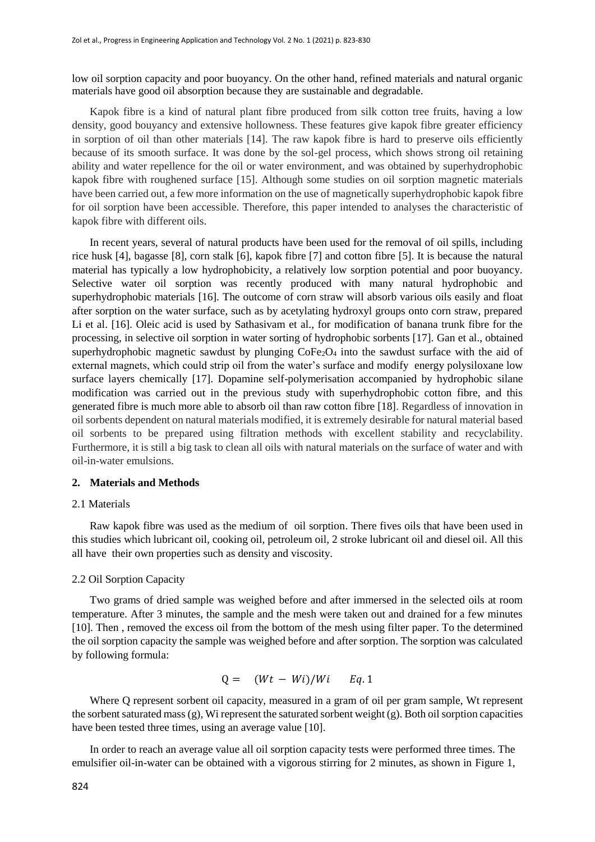low oil sorption capacity and poor buoyancy. On the other hand, refined materials and natural organic materials have good oil absorption because they are sustainable and degradable.

Kapok fibre is a kind of natural plant fibre produced from silk cotton tree fruits, having a low density, good bouyancy and extensive hollowness. These features give kapok fibre greater efficiency in sorption of oil than other materials [14]. The raw kapok fibre is hard to preserve oils efficiently because of its smooth surface. It was done by the sol-gel process, which shows strong oil retaining ability and water repellence for the oil or water environment, and was obtained by superhydrophobic kapok fibre with roughened surface [15]. Although some studies on oil sorption magnetic materials have been carried out, a few more information on the use of magnetically superhydrophobic kapok fibre for oil sorption have been accessible. Therefore, this paper intended to analyses the characteristic of kapok fibre with different oils.

In recent years, several of natural products have been used for the removal of oil spills, including rice husk [4], bagasse [8], corn stalk [6], kapok fibre [7] and cotton fibre [5]. It is because the natural material has typically a low hydrophobicity, a relatively low sorption potential and poor buoyancy. Selective water oil sorption was recently produced with many natural hydrophobic and superhydrophobic materials [16]. The outcome of corn straw will absorb various oils easily and float after sorption on the water surface, such as by acetylating hydroxyl groups onto corn straw, prepared Li et al. [16]. Oleic acid is used by Sathasivam et al., for modification of banana trunk fibre for the processing, in selective oil sorption in water sorting of hydrophobic sorbents [17]. Gan et al., obtained superhydrophobic magnetic sawdust by plunging  $\text{CoFe}_2\text{O}_4$  into the sawdust surface with the aid of external magnets, which could strip oil from the water's surface and modify energy polysiloxane low surface layers chemically [17]. Dopamine self-polymerisation accompanied by hydrophobic silane modification was carried out in the previous study with superhydrophobic cotton fibre, and this generated fibre is much more able to absorb oil than raw cotton fibre [18]. Regardless of innovation in oil sorbents dependent on natural materials modified, it is extremely desirable for natural material based oil sorbents to be prepared using filtration methods with excellent stability and recyclability. Furthermore, it is still a big task to clean all oils with natural materials on the surface of water and with oil-in-water emulsions.

#### **2. Materials and Methods**

#### 2.1 Materials

Raw kapok fibre was used as the medium of oil sorption. There fives oils that have been used in this studies which lubricant oil, cooking oil, petroleum oil, 2 stroke lubricant oil and diesel oil. All this all have their own properties such as density and viscosity.

#### 2.2 Oil Sorption Capacity

Two grams of dried sample was weighed before and after immersed in the selected oils at room temperature. After 3 minutes, the sample and the mesh were taken out and drained for a few minutes [10]. Then , removed the excess oil from the bottom of the mesh using filter paper. To the determined the oil sorption capacity the sample was weighed before and after sorption. The sorption was calculated by following formula:

$$
Q = (Wt - Wi)/Wi \t Eq. 1
$$

Where Q represent sorbent oil capacity, measured in a gram of oil per gram sample, Wt represent the sorbent saturated mass(g), Wi represent the saturated sorbent weight (g). Both oil sorption capacities have been tested three times, using an average value [10].

In order to reach an average value all oil sorption capacity tests were performed three times. The emulsifier oil-in-water can be obtained with a vigorous stirring for 2 minutes, as shown in Figure 1,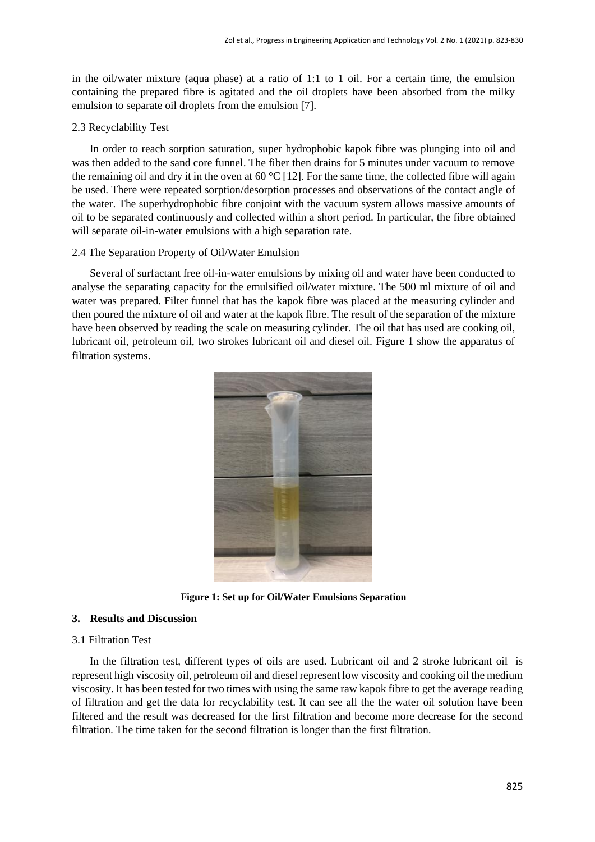in the oil/water mixture (aqua phase) at a ratio of 1:1 to 1 oil. For a certain time, the emulsion containing the prepared fibre is agitated and the oil droplets have been absorbed from the milky emulsion to separate oil droplets from the emulsion [7].

## 2.3 Recyclability Test

In order to reach sorption saturation, super hydrophobic kapok fibre was plunging into oil and was then added to the sand core funnel. The fiber then drains for 5 minutes under vacuum to remove the remaining oil and dry it in the oven at 60  $^{\circ}$ C [12]. For the same time, the collected fibre will again be used. There were repeated sorption/desorption processes and observations of the contact angle of the water. The superhydrophobic fibre conjoint with the vacuum system allows massive amounts of oil to be separated continuously and collected within a short period. In particular, the fibre obtained will separate oil-in-water emulsions with a high separation rate.

#### 2.4 The Separation Property of Oil/Water Emulsion

Several of surfactant free oil-in-water emulsions by mixing oil and water have been conducted to analyse the separating capacity for the emulsified oil/water mixture. The 500 ml mixture of oil and water was prepared. Filter funnel that has the kapok fibre was placed at the measuring cylinder and then poured the mixture of oil and water at the kapok fibre. The result of the separation of the mixture have been observed by reading the scale on measuring cylinder. The oil that has used are cooking oil, lubricant oil, petroleum oil, two strokes lubricant oil and diesel oil. Figure 1 show the apparatus of filtration systems.



**Figure 1: Set up for Oil/Water Emulsions Separation**

## **3. Results and Discussion**

## 3.1 Filtration Test

In the filtration test, different types of oils are used. Lubricant oil and 2 stroke lubricant oil is represent high viscosity oil, petroleum oil and diesel represent low viscosity and cooking oil the medium viscosity. It has been tested for two times with using the same raw kapok fibre to get the average reading of filtration and get the data for recyclability test. It can see all the the water oil solution have been filtered and the result was decreased for the first filtration and become more decrease for the second filtration. The time taken for the second filtration is longer than the first filtration.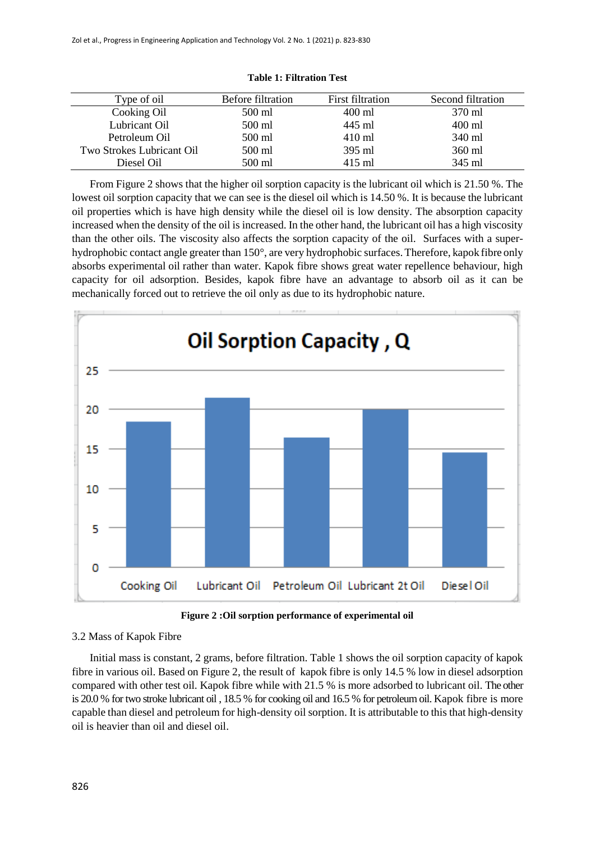| Type of oil               | <b>Before filtration</b> | First filtration | Second filtration |
|---------------------------|--------------------------|------------------|-------------------|
| Cooking Oil               | 500 ml                   | 400 ml           | 370 ml            |
| Lubricant Oil             | 500 ml                   | 445 ml           | 400 ml            |
| Petroleum Oil             | 500 ml                   | $410 \text{ ml}$ | 340 ml            |
| Two Strokes Lubricant Oil | 500 ml                   | 395 ml           | 360 ml            |
| Diesel Oil                | 500 ml                   | 415 ml           | 345 ml            |

**Table 1: Filtration Test**

From Figure 2 shows that the higher oil sorption capacity is the lubricant oil which is 21.50 %. The lowest oil sorption capacity that we can see is the diesel oil which is 14.50 %. It is because the lubricant oil properties which is have high density while the diesel oil is low density. The absorption capacity increased when the density of the oil is increased. In the other hand, the lubricant oil has a high viscosity than the other oils. The viscosity also affects the sorption capacity of the oil. Surfaces with a superhydrophobic contact angle greater than 150°, are very hydrophobic surfaces.Therefore, kapok fibre only absorbs experimental oil rather than water. Kapok fibre shows great water repellence behaviour, high capacity for oil adsorption. Besides, kapok fibre have an advantage to absorb oil as it can be mechanically forced out to retrieve the oil only as due to its hydrophobic nature.



**Figure 2 :Oil sorption performance of experimental oil**

## 3.2 Mass of Kapok Fibre

Initial mass is constant, 2 grams, before filtration. Table 1 shows the oil sorption capacity of kapok fibre in various oil. Based on Figure 2, the result of kapok fibre is only 14.5 % low in diesel adsorption compared with other test oil. Kapok fibre while with 21.5 % is more adsorbed to lubricant oil. The other is 20.0 % for two stroke lubricant oil , 18.5 % for cooking oil and 16.5 % for petroleum oil. Kapok fibre is more capable than diesel and petroleum for high-density oil sorption. It is attributable to this that high-density oil is heavier than oil and diesel oil.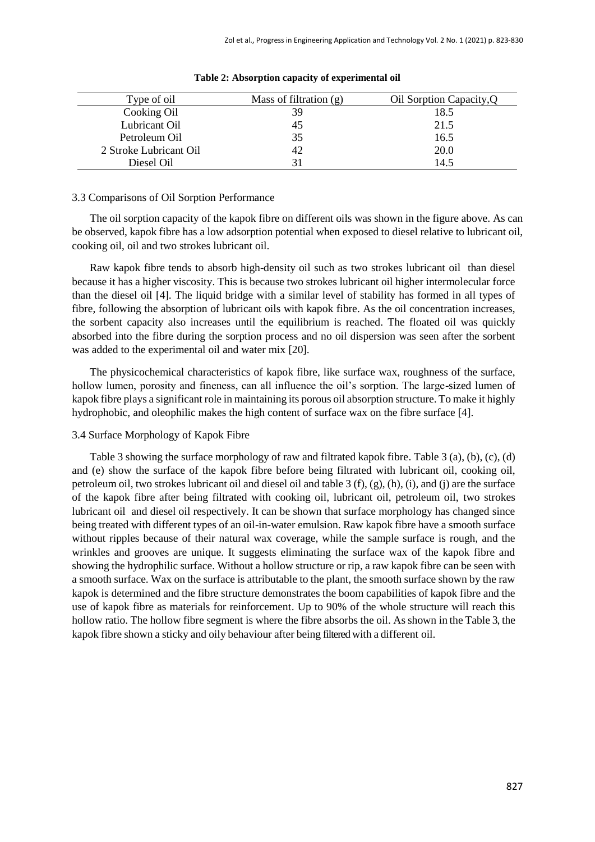| Type of oil            | Mass of filtration $(g)$ | Oil Sorption Capacity, Q |
|------------------------|--------------------------|--------------------------|
| Cooking Oil            | 39                       | 18.5                     |
| Lubricant Oil          |                          | 21.5                     |
| Petroleum Oil          | 35                       | 16.5                     |
| 2 Stroke Lubricant Oil |                          | 20.0                     |
| Diesel Oil             | 31                       | 14.5                     |

#### **Table 2: Absorption capacity of experimental oil**

#### 3.3 Comparisons of Oil Sorption Performance

The oil sorption capacity of the kapok fibre on different oils was shown in the figure above. As can be observed, kapok fibre has a low adsorption potential when exposed to diesel relative to lubricant oil, cooking oil, oil and two strokes lubricant oil.

Raw kapok fibre tends to absorb high-density oil such as two strokes lubricant oil than diesel because it has a higher viscosity. This is because two strokes lubricant oil higher intermolecular force than the diesel oil [4]. The liquid bridge with a similar level of stability has formed in all types of fibre, following the absorption of lubricant oils with kapok fibre. As the oil concentration increases, the sorbent capacity also increases until the equilibrium is reached. The floated oil was quickly absorbed into the fibre during the sorption process and no oil dispersion was seen after the sorbent was added to the experimental oil and water mix [20].

The physicochemical characteristics of kapok fibre, like surface wax, roughness of the surface, hollow lumen, porosity and fineness, can all influence the oil's sorption. The large-sized lumen of kapok fibre plays a significant role in maintaining its porous oil absorption structure. To make it highly hydrophobic, and oleophilic makes the high content of surface wax on the fibre surface [4].

#### 3.4 Surface Morphology of Kapok Fibre

Table 3 showing the surface morphology of raw and filtrated kapok fibre. Table 3 (a), (b), (c), (d) and (e) show the surface of the kapok fibre before being filtrated with lubricant oil, cooking oil, petroleum oil, two strokes lubricant oil and diesel oil and table 3 (f), (g), (h), (i), and (j) are the surface of the kapok fibre after being filtrated with cooking oil, lubricant oil, petroleum oil, two strokes lubricant oil and diesel oil respectively. It can be shown that surface morphology has changed since being treated with different types of an oil-in-water emulsion. Raw kapok fibre have a smooth surface without ripples because of their natural wax coverage, while the sample surface is rough, and the wrinkles and grooves are unique. It suggests eliminating the surface wax of the kapok fibre and showing the hydrophilic surface. Without a hollow structure or rip, a raw kapok fibre can be seen with a smooth surface. Wax on the surface is attributable to the plant, the smooth surface shown by the raw kapok is determined and the fibre structure demonstrates the boom capabilities of kapok fibre and the use of kapok fibre as materials for reinforcement. Up to 90% of the whole structure will reach this hollow ratio. The hollow fibre segment is where the fibre absorbs the oil. As shown in the Table 3, the kapok fibre shown a sticky and oily behaviour after being filteredwith a different oil.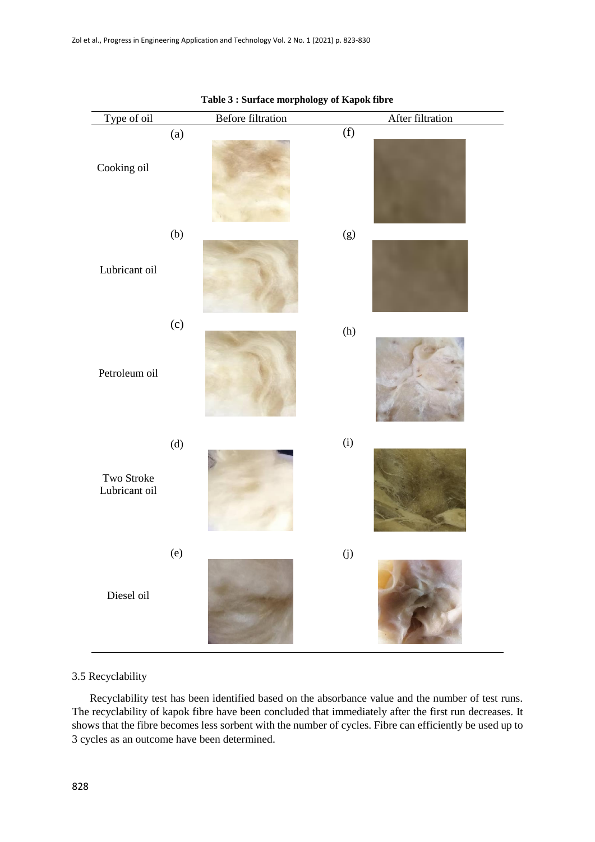| Type of oil                 | Before filtration | $\tilde{\phantom{a}}$<br>After filtration |
|-----------------------------|-------------------|-------------------------------------------|
| Cooking oil                 | (a)               | (f)                                       |
| Lubricant oil               | (b)               | $(g)$                                     |
| Petroleum oil               | (c)               | (h)                                       |
| Two Stroke<br>Lubricant oil | (d)               | (i)                                       |
| Diesel oil                  | (e)               | $\left( j\right)$                         |

#### **Table 3 : Surface morphology of Kapok fibre**

#### 3.5 Recyclability

Recyclability test has been identified based on the absorbance value and the number of test runs. The recyclability of kapok fibre have been concluded that immediately after the first run decreases. It shows that the fibre becomes less sorbent with the number of cycles. Fibre can efficiently be used up to 3 cycles as an outcome have been determined.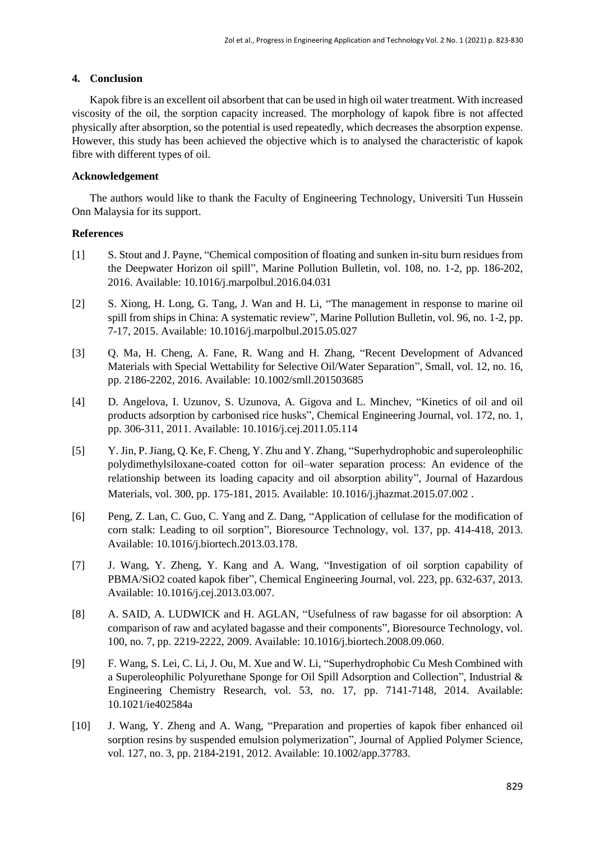### **4. Conclusion**

Kapok fibre is an excellent oil absorbent that can be used in high oil water treatment. With increased viscosity of the oil, the sorption capacity increased. The morphology of kapok fibre is not affected physically after absorption, so the potential is used repeatedly, which decreases the absorption expense. However, this study has been achieved the objective which is to analysed the characteristic of kapok fibre with different types of oil.

### **Acknowledgement**

The authors would like to thank the Faculty of Engineering Technology, Universiti Tun Hussein Onn Malaysia for its support.

#### **References**

- [1] S. Stout and J. Payne, "Chemical composition of floating and sunken in-situ burn residues from the Deepwater Horizon oil spill", Marine Pollution Bulletin, vol. 108, no. 1-2, pp. 186-202, 2016. Available: 10.1016/j.marpolbul.2016.04.031
- [2] S. Xiong, H. Long, G. Tang, J. Wan and H. Li, "The management in response to marine oil spill from ships in China: A systematic review", Marine Pollution Bulletin, vol. 96, no. 1-2, pp. 7-17, 2015. Available: 10.1016/j.marpolbul.2015.05.027
- [3] Q. Ma, H. Cheng, A. Fane, R. Wang and H. Zhang, "Recent Development of Advanced Materials with Special Wettability for Selective Oil/Water Separation", Small, vol. 12, no. 16, pp. 2186-2202, 2016. Available: 10.1002/smll.201503685
- [4] D. Angelova, I. Uzunov, S. Uzunova, A. Gigova and L. Minchev, "Kinetics of oil and oil products adsorption by carbonised rice husks", Chemical Engineering Journal, vol. 172, no. 1, pp. 306-311, 2011. Available: 10.1016/j.cej.2011.05.114
- [5] Y. Jin, P. Jiang, Q. Ke, F. Cheng, Y. Zhu and Y. Zhang, "Superhydrophobic and superoleophilic polydimethylsiloxane-coated cotton for oil–water separation process: An evidence of the relationship between its loading capacity and oil absorption ability", Journal of Hazardous Materials, vol. 300, pp. 175-181, 2015. Available: 10.1016/j.jhazmat.2015.07.002 .
- [6] Peng, Z. Lan, C. Guo, C. Yang and Z. Dang, "Application of cellulase for the modification of corn stalk: Leading to oil sorption", Bioresource Technology, vol. 137, pp. 414-418, 2013. Available: 10.1016/j.biortech.2013.03.178.
- [7] J. Wang, Y. Zheng, Y. Kang and A. Wang, "Investigation of oil sorption capability of PBMA/SiO2 coated kapok fiber", Chemical Engineering Journal, vol. 223, pp. 632-637, 2013. Available: 10.1016/j.cej.2013.03.007.
- [8] A. SAID, A. LUDWICK and H. AGLAN, "Usefulness of raw bagasse for oil absorption: A comparison of raw and acylated bagasse and their components", Bioresource Technology, vol. 100, no. 7, pp. 2219-2222, 2009. Available: 10.1016/j.biortech.2008.09.060.
- [9] F. Wang, S. Lei, C. Li, J. Ou, M. Xue and W. Li, "Superhydrophobic Cu Mesh Combined with a Superoleophilic Polyurethane Sponge for Oil Spill Adsorption and Collection", Industrial & Engineering Chemistry Research, vol. 53, no. 17, pp. 7141-7148, 2014. Available: 10.1021/ie402584a
- [10] J. Wang, Y. Zheng and A. Wang, "Preparation and properties of kapok fiber enhanced oil sorption resins by suspended emulsion polymerization", Journal of Applied Polymer Science, vol. 127, no. 3, pp. 2184-2191, 2012. Available: 10.1002/app.37783.